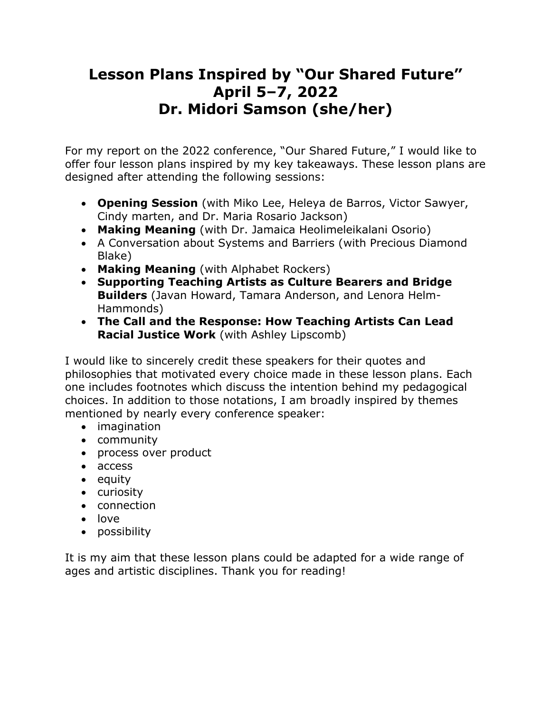# **Lesson Plans Inspired by "Our Shared Future" April 5–7, 2022 Dr. Midori Samson (she/her)**

For my report on the 2022 conference, "Our Shared Future," I would like to offer four lesson plans inspired by my key takeaways. These lesson plans are designed after attending the following sessions:

- **Opening Session** (with Miko Lee, Heleya de Barros, Victor Sawyer, Cindy marten, and Dr. Maria Rosario Jackson)
- **Making Meaning** (with Dr. Jamaica Heolimeleikalani Osorio)
- A Conversation about Systems and Barriers (with Precious Diamond Blake)
- **Making Meaning** (with Alphabet Rockers)
- **Supporting Teaching Artists as Culture Bearers and Bridge Builders** (Javan Howard, Tamara Anderson, and Lenora Helm-Hammonds)
- **The Call and the Response: How Teaching Artists Can Lead Racial Justice Work** (with Ashley Lipscomb)

I would like to sincerely credit these speakers for their quotes and philosophies that motivated every choice made in these lesson plans. Each one includes footnotes which discuss the intention behind my pedagogical choices. In addition to those notations, I am broadly inspired by themes mentioned by nearly every conference speaker:

- imagination
- community
- process over product
- access
- equity
- curiosity
- connection
- love
- possibility

It is my aim that these lesson plans could be adapted for a wide range of ages and artistic disciplines. Thank you for reading!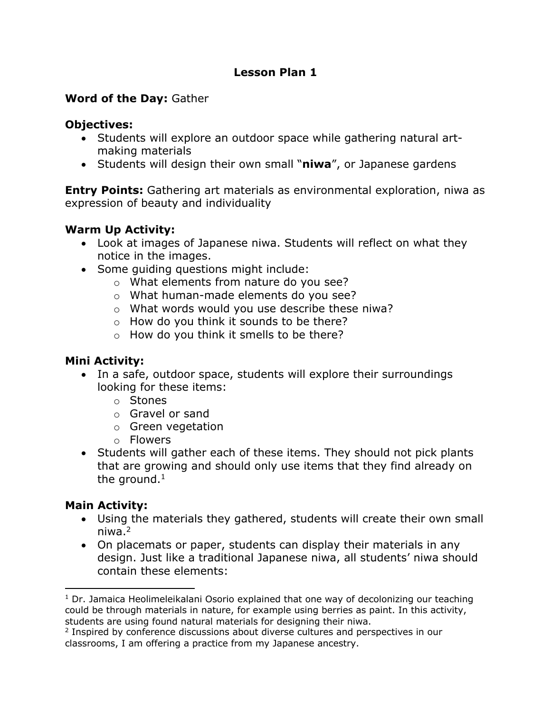#### **Word of the Day:** Gather

#### **Objectives:**

- Students will explore an outdoor space while gathering natural artmaking materials
- Students will design their own small "**niwa**", or Japanese gardens

**Entry Points:** Gathering art materials as environmental exploration, niwa as expression of beauty and individuality

# **Warm Up Activity:**

- Look at images of Japanese niwa. Students will reflect on what they notice in the images.
- Some guiding questions might include:
	- o What elements from nature do you see?
	- o What human-made elements do you see?
	- o What words would you use describe these niwa?
	- o How do you think it sounds to be there?
	- o How do you think it smells to be there?

# **Mini Activity:**

- In a safe, outdoor space, students will explore their surroundings looking for these items:
	- o Stones
	- o Gravel or sand
	- o Green vegetation
	- o Flowers
- Students will gather each of these items. They should not pick plants that are growing and should only use items that they find already on the ground. $1$

# **Main Activity:**

- Using the materials they gathered, students will create their own small niwa.2
- On placemats or paper, students can display their materials in any design. Just like a traditional Japanese niwa, all students' niwa should contain these elements:

 $1$  Dr. Jamaica Heolimeleikalani Osorio explained that one way of decolonizing our teaching could be through materials in nature, for example using berries as paint. In this activity, students are using found natural materials for designing their niwa.

<sup>2</sup> Inspired by conference discussions about diverse cultures and perspectives in our classrooms, I am offering a practice from my Japanese ancestry.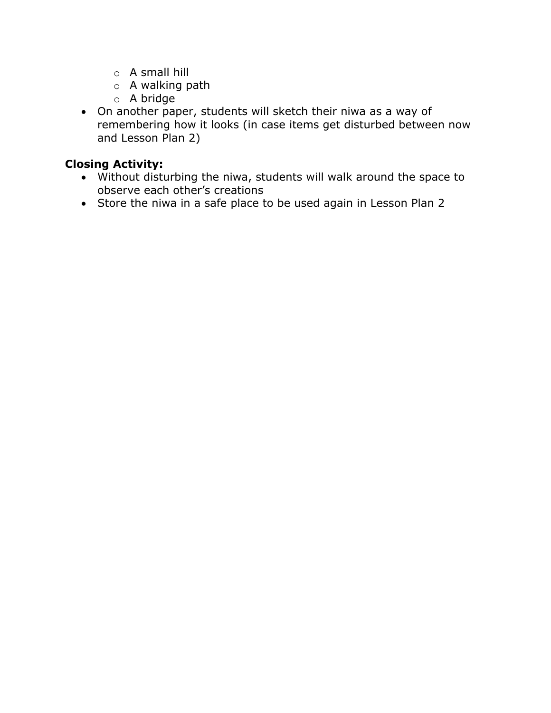- o A small hill
- o A walking path
- o A bridge
- On another paper, students will sketch their niwa as a way of remembering how it looks (in case items get disturbed between now and Lesson Plan 2)

# **Closing Activity:**

- Without disturbing the niwa, students will walk around the space to observe each other's creations
- Store the niwa in a safe place to be used again in Lesson Plan 2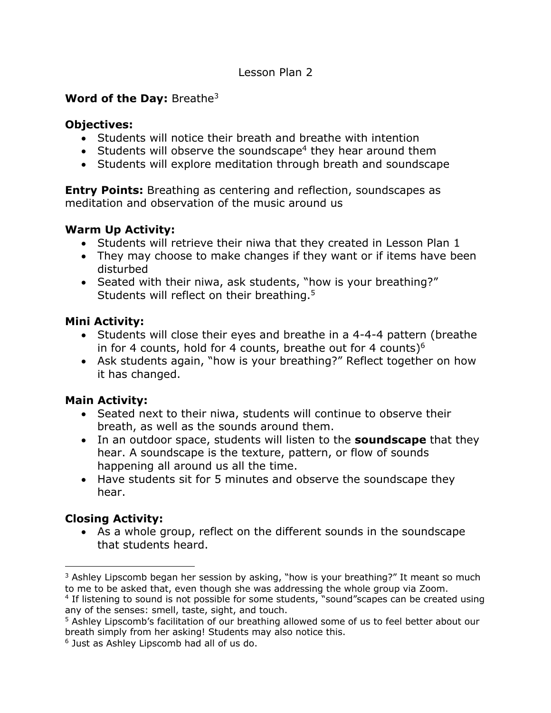# **Word of the Day:** Breathe3

#### **Objectives:**

- Students will notice their breath and breathe with intention
- Students will observe the soundscape<sup>4</sup> they hear around them
- Students will explore meditation through breath and soundscape

**Entry Points:** Breathing as centering and reflection, soundscapes as meditation and observation of the music around us

# **Warm Up Activity:**

- Students will retrieve their niwa that they created in Lesson Plan 1
- They may choose to make changes if they want or if items have been disturbed
- Seated with their niwa, ask students, "how is your breathing?" Students will reflect on their breathing.<sup>5</sup>

# **Mini Activity:**

- Students will close their eyes and breathe in a 4-4-4 pattern (breathe in for 4 counts, hold for 4 counts, breathe out for 4 counts) $6$
- Ask students again, "how is your breathing?" Reflect together on how it has changed.

# **Main Activity:**

- Seated next to their niwa, students will continue to observe their breath, as well as the sounds around them.
- In an outdoor space, students will listen to the **soundscape** that they hear. A soundscape is the texture, pattern, or flow of sounds happening all around us all the time.
- Have students sit for 5 minutes and observe the soundscape they hear.

# **Closing Activity:**

• As a whole group, reflect on the different sounds in the soundscape that students heard.

 $3$  Ashley Lipscomb began her session by asking, "how is your breathing?" It meant so much to me to be asked that, even though she was addressing the whole group via Zoom.

<sup>&</sup>lt;sup>4</sup> If listening to sound is not possible for some students, "sound" scapes can be created using any of the senses: smell, taste, sight, and touch.

<sup>&</sup>lt;sup>5</sup> Ashley Lipscomb's facilitation of our breathing allowed some of us to feel better about our breath simply from her asking! Students may also notice this.

<sup>6</sup> Just as Ashley Lipscomb had all of us do.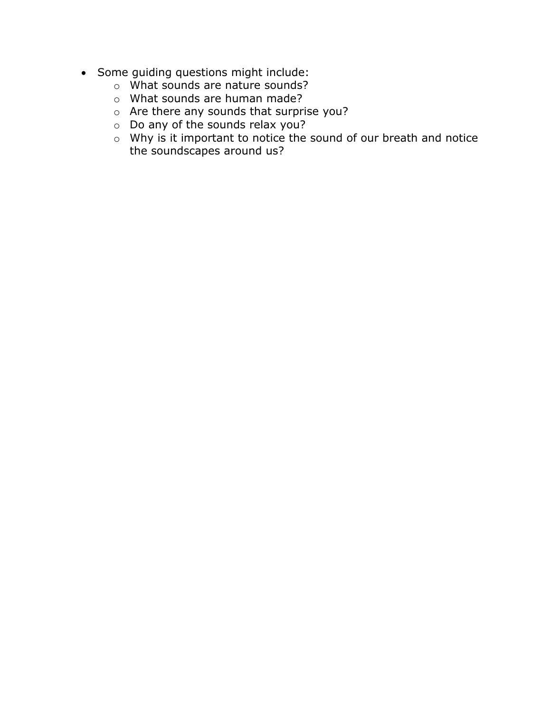- Some guiding questions might include:
	- o What sounds are nature sounds?
	- o What sounds are human made?
	- o Are there any sounds that surprise you?
	- o Do any of the sounds relax you?
	- $\circ$  Why is it important to notice the sound of our breath and notice the soundscapes around us?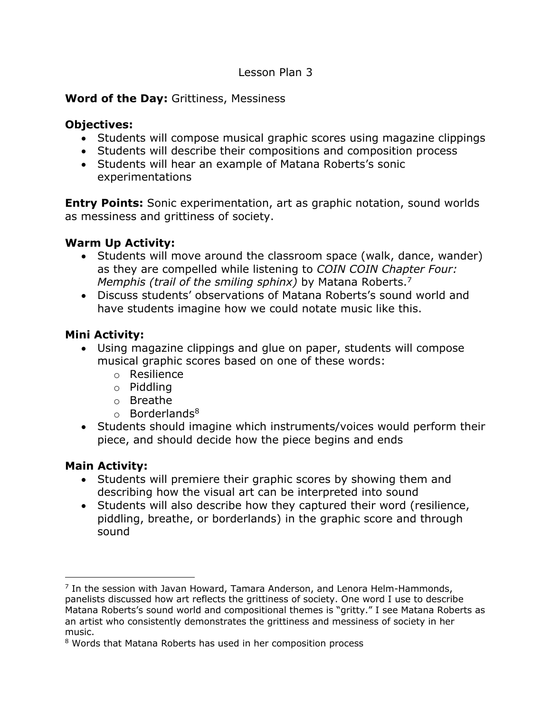#### **Word of the Day:** Grittiness, Messiness

#### **Objectives:**

- Students will compose musical graphic scores using magazine clippings
- Students will describe their compositions and composition process
- Students will hear an example of Matana Roberts's sonic experimentations

**Entry Points:** Sonic experimentation, art as graphic notation, sound worlds as messiness and grittiness of society.

# **Warm Up Activity:**

- Students will move around the classroom space (walk, dance, wander) as they are compelled while listening to *COIN COIN Chapter Four: Memphis (trail of the smiling sphinx)* by Matana Roberts.7
- Discuss students' observations of Matana Roberts's sound world and have students imagine how we could notate music like this.

# **Mini Activity:**

- Using magazine clippings and glue on paper, students will compose musical graphic scores based on one of these words:
	- o Resilience
	- o Piddling
	- o Breathe
	- $\circ$  Borderlands<sup>8</sup>
- Students should imagine which instruments/voices would perform their piece, and should decide how the piece begins and ends

# **Main Activity:**

- Students will premiere their graphic scores by showing them and describing how the visual art can be interpreted into sound
- Students will also describe how they captured their word (resilience, piddling, breathe, or borderlands) in the graphic score and through sound

 $<sup>7</sup>$  In the session with Javan Howard, Tamara Anderson, and Lenora Helm-Hammonds,</sup> panelists discussed how art reflects the grittiness of society. One word I use to describe Matana Roberts's sound world and compositional themes is "gritty." I see Matana Roberts as an artist who consistently demonstrates the grittiness and messiness of society in her music.

<sup>8</sup> Words that Matana Roberts has used in her composition process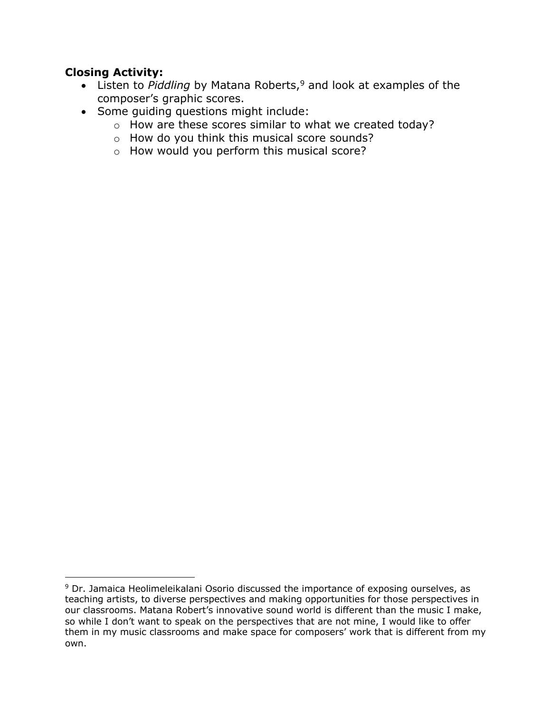# **Closing Activity:**

- Listen to *Piddling* by Matana Roberts,<sup>9</sup> and look at examples of the composer's graphic scores.
- Some guiding questions might include:
	- o How are these scores similar to what we created today?
	- o How do you think this musical score sounds?
	- o How would you perform this musical score?

<sup>&</sup>lt;sup>9</sup> Dr. Jamaica Heolimeleikalani Osorio discussed the importance of exposing ourselves, as teaching artists, to diverse perspectives and making opportunities for those perspectives in our classrooms. Matana Robert's innovative sound world is different than the music I make, so while I don't want to speak on the perspectives that are not mine, I would like to offer them in my music classrooms and make space for composers' work that is different from my own.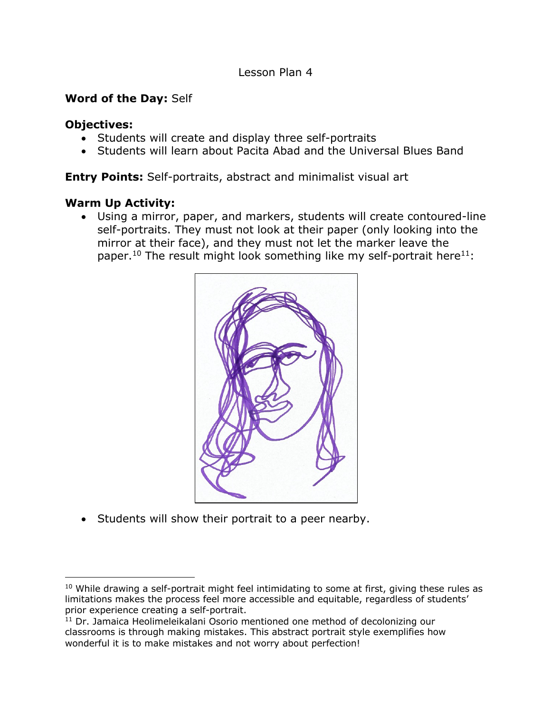#### **Word of the Day:** Self

#### **Objectives:**

- Students will create and display three self-portraits
- Students will learn about Pacita Abad and the Universal Blues Band

**Entry Points:** Self-portraits, abstract and minimalist visual art

#### **Warm Up Activity:**

• Using a mirror, paper, and markers, students will create contoured-line self-portraits. They must not look at their paper (only looking into the mirror at their face), and they must not let the marker leave the paper.<sup>10</sup> The result might look something like my self-portrait here<sup>11</sup>:



• Students will show their portrait to a peer nearby.

 $10$  While drawing a self-portrait might feel intimidating to some at first, giving these rules as limitations makes the process feel more accessible and equitable, regardless of students' prior experience creating a self-portrait.

<sup>11</sup> Dr. Jamaica Heolimeleikalani Osorio mentioned one method of decolonizing our classrooms is through making mistakes. This abstract portrait style exemplifies how wonderful it is to make mistakes and not worry about perfection!